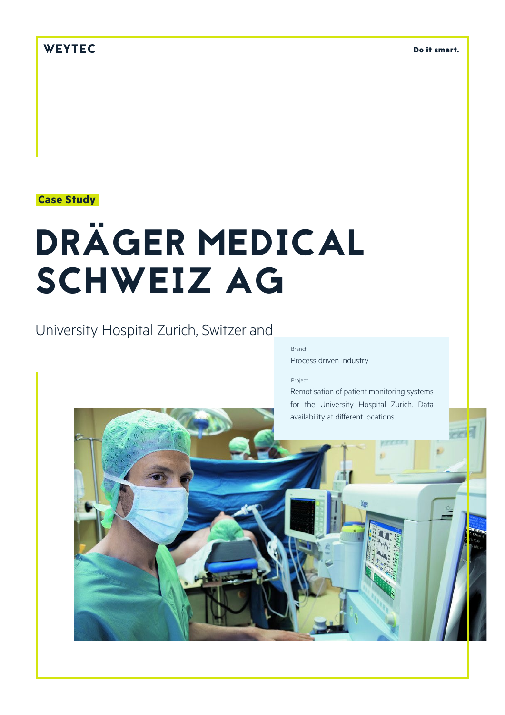# WEYTEC

**Do it smart.**

## **Case Study**

# DRÄGER MEDICAL SCHWEIZ AG

# University Hospital Zurich, Switzerland

#### Branch Process driven Industry

#### Project

Remotisation of patient monitoring systems for the University Hospital Zurich. Data availability at different locations.

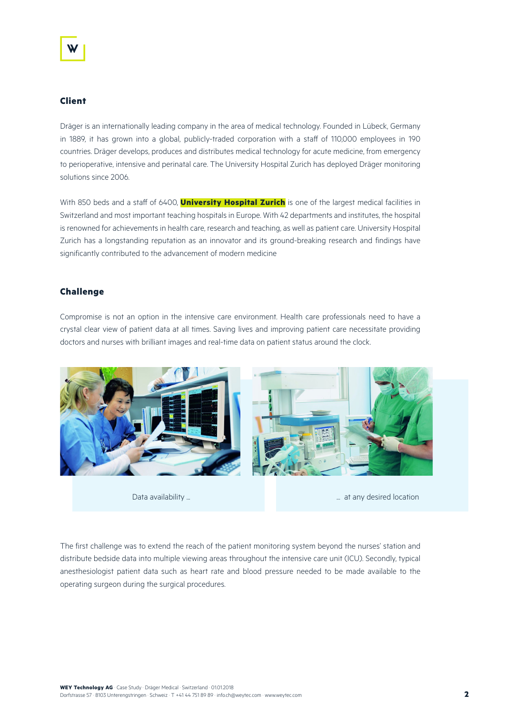#### **Client**

Dräger is an internationally leading company in the area of medical technology. Founded in Lübeck, Germany in 1889, it has grown into a global, publicly-traded corporation with a staff of 110,000 employees in 190 countries. Dräger develops, produces and distributes medical technology for acute medicine, from emergency to perioperative, intensive and perinatal care. The University Hospital Zurich has deployed Dräger monitoring solutions since 2006.

With 850 beds and a staff of 6400, **University Hospital Zurich** is one of the largest medical facilities in Switzerland and most important teaching hospitals in Europe. With 42 departments and institutes, the hospital is renowned for achievements in health care, research and teaching, as well as patient care. University Hospital Zurich has a longstanding reputation as an innovator and its ground-breaking research and findings have significantly contributed to the advancement of modern medicine

#### **Challenge**

Compromise is not an option in the intensive care environment. Health care professionals need to have a crystal clear view of patient data at all times. Saving lives and improving patient care necessitate providing doctors and nurses with brilliant images and real-time data on patient status around the clock.



Data availability ... ... at any desired location

The first challenge was to extend the reach of the patient monitoring system beyond the nurses' station and distribute bedside data into multiple viewing areas throughout the intensive care unit (ICU). Secondly, typical anesthesiologist patient data such as heart rate and blood pressure needed to be made available to the operating surgeon during the surgical procedures.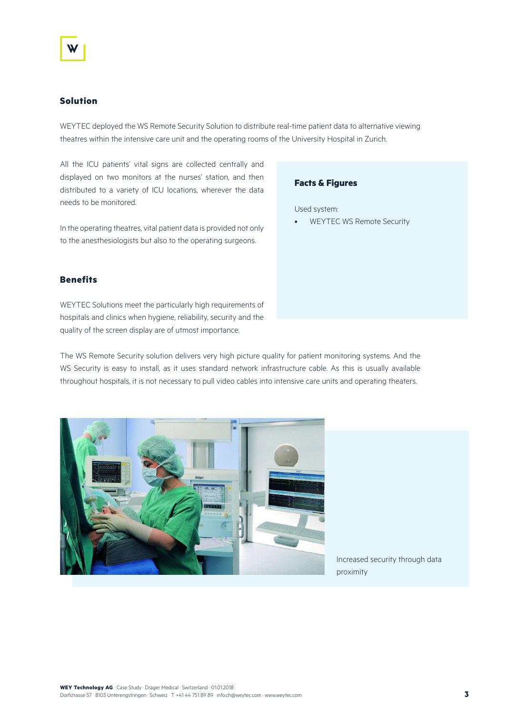#### **Solution**

WEYTEC deployed the WS Remote Security Solution to distribute real-time patient data to alternative viewing theatres within the intensive care unit and the operating rooms of the University Hospital in Zurich.

All the ICU patients' vital signs are collected centrally and displayed on two monitors at the nurses' station, and then distributed to a variety of ICU locations, wherever the data needs to be monitored.

In the operating theatres, vital patient data is provided not only to the anesthesiologists but also to the operating surgeons.

#### **Benefits**

WEYTEC Solutions meet the particularly high requirements of hospitals and clinics when hygiene, reliability, security and the quality of the screen display are of utmost importance.

The WS Remote Security solution delivers very high picture quality for patient monitoring systems. And the WS Security is easy to install, as it uses standard network infrastructure cable. As this is usually available throughout hospitals, it is not necessary to pull video cables into intensive care units and operating theaters.



Increased security through data proximity

### **Facts & Figures**

Used system:

• WEYTEC WS Remote Security